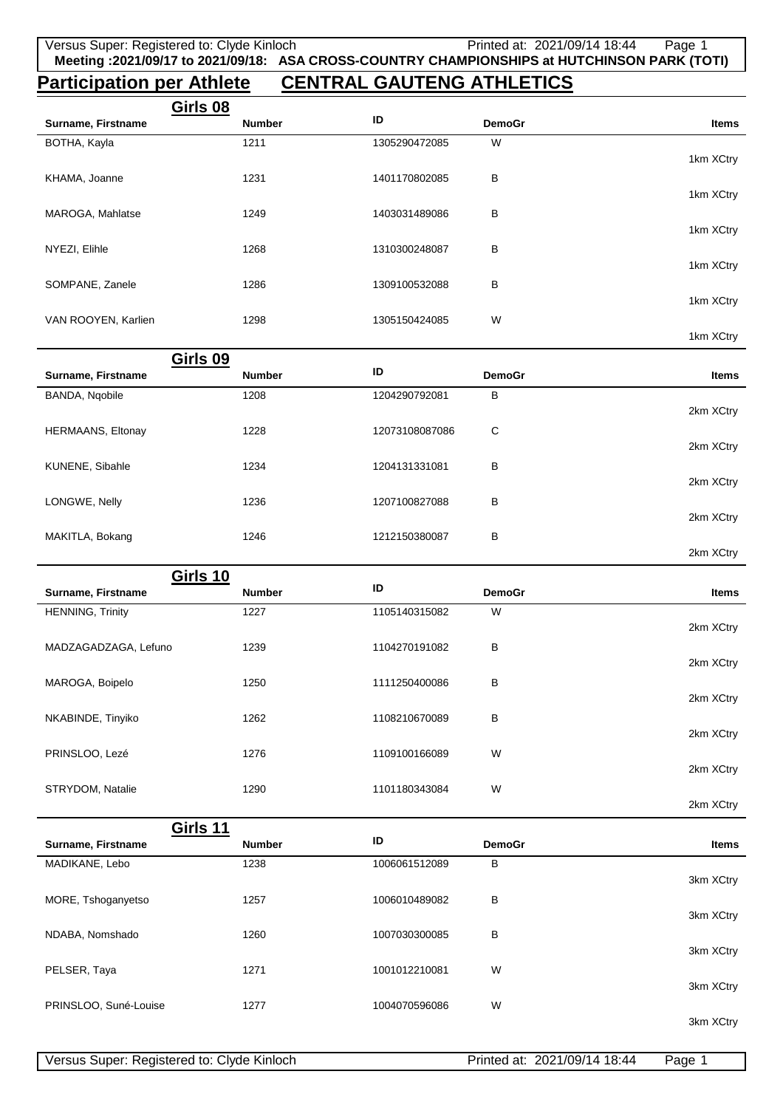# **Participation per Athlete CENTRAL GAUTENG ATHLETICS**

|                     | Girls 08      |               |               |           |
|---------------------|---------------|---------------|---------------|-----------|
| Surname, Firstname  | <b>Number</b> | ID            | <b>DemoGr</b> | Items     |
| BOTHA, Kayla        | 1211          | 1305290472085 | W             |           |
|                     |               |               |               | 1km XCtry |
| KHAMA, Joanne       | 1231          | 1401170802085 | В             |           |
|                     |               |               |               | 1km XCtry |
| MAROGA, Mahlatse    | 1249          | 1403031489086 | В             |           |
|                     |               |               |               | 1km XCtry |
| NYEZI, Elihle       | 1268          | 1310300248087 | В             |           |
|                     |               |               |               | 1km XCtry |
| SOMPANE, Zanele     | 1286          | 1309100532088 | В             |           |
|                     |               |               |               | 1km XCtry |
| VAN ROOYEN, Karlien | 1298          | 1305150424085 | W             | 1km XCtry |
|                     |               |               |               |           |

|                          | Girls 09      |                |               |              |
|--------------------------|---------------|----------------|---------------|--------------|
| Surname, Firstname       | <b>Number</b> | ID             | <b>DemoGr</b> | <b>Items</b> |
| BANDA, Ngobile           | 1208          | 1204290792081  | в             |              |
|                          |               |                |               | 2km XCtry    |
| <b>HERMAANS, Eltonay</b> | 1228          | 12073108087086 | C             |              |
|                          |               |                |               | 2km XCtry    |
| KUNENE, Sibahle          | 1234          | 1204131331081  | в             |              |
|                          |               |                |               | 2km XCtry    |
| LONGWE, Nelly            | 1236          | 1207100827088  | в             |              |
|                          |               |                |               | 2km XCtry    |
| MAKITLA, Bokang          | 1246          | 1212150380087  | в             |              |
|                          |               |                |               | 2km XCtry    |

| Girls 10                |               |               |               |              |
|-------------------------|---------------|---------------|---------------|--------------|
| Surname, Firstname      | <b>Number</b> | ID            | <b>DemoGr</b> | <b>Items</b> |
| <b>HENNING, Trinity</b> | 1227          | 1105140315082 | W             |              |
|                         |               |               |               | 2km XCtry    |
| MADZAGADZAGA, Lefuno    | 1239          | 1104270191082 | В             |              |
|                         |               |               |               | 2km XCtry    |
| MAROGA, Boipelo         | 1250          | 1111250400086 | В             | 2km XCtry    |
| NKABINDE, Tinyiko       | 1262          | 1108210670089 | B             |              |
|                         |               |               |               | 2km XCtry    |
| PRINSLOO, Lezé          | 1276          | 1109100166089 | W             |              |
|                         |               |               |               | 2km XCtry    |
| STRYDOM, Natalie        | 1290          | 1101180343084 | W             |              |
|                         |               |               |               | 2km XCtry    |

| Girls 11              |               |               |               |              |
|-----------------------|---------------|---------------|---------------|--------------|
| Surname, Firstname    | <b>Number</b> | ID            | <b>DemoGr</b> | <b>Items</b> |
| MADIKANE, Lebo        | 1238          | 1006061512089 | B             |              |
|                       |               |               |               | 3km XCtry    |
| MORE, Tshoganyetso    | 1257          | 1006010489082 | В             |              |
|                       |               |               |               | 3km XCtry    |
| NDABA, Nomshado       | 1260          | 1007030300085 | В             |              |
|                       |               |               |               | 3km XCtry    |
| PELSER, Taya          | 1271          | 1001012210081 | W             |              |
|                       |               |               |               | 3km XCtry    |
| PRINSLOO, Suné-Louise | 1277          | 1004070596086 | W             |              |
|                       |               |               |               | 3km XCtry    |
|                       |               |               |               |              |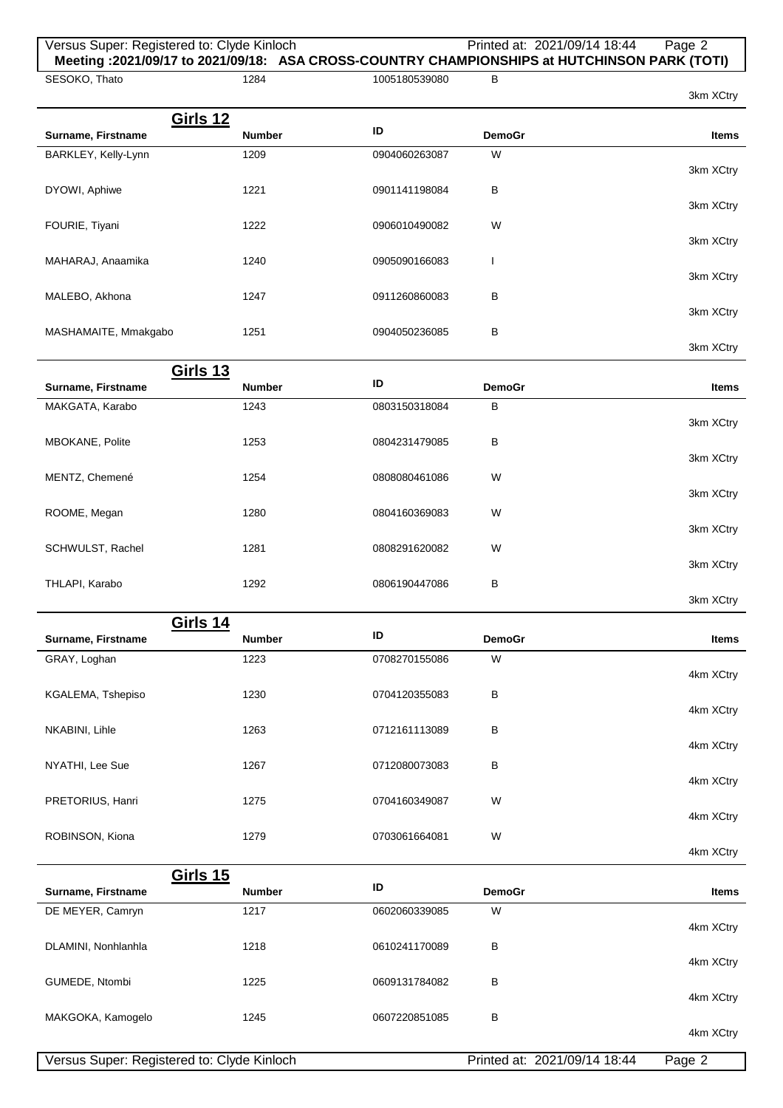## Versus Super: Registered to: Clyde Kinloch Printed at: 2021/09/14 18:44 Page 2 **Meeting :2021/09/17 to 2021/09/18: ASA CROSS-COUNTRY CHAMPIONSHIPS at HUTCHINSON PARK (TOTI)**

SESOKO, Thato 3km XCtry 1284 1005180539080 B **Girls 12 Surname, Firstname ID DemoGraphic Litems ID DemoGraphic Litems ID** BARKLEY, Kelly-Lynn 3km XCtry 1209 0904060263087 W DYOWI, Aphiwe 3km XCtry 1221 0901141198084 B FOURIE, Tiyani 3km XCtry 1222 0906010490082 W MAHARAJ, Anaamika 3km XCtry 1240 0905090166083 I MALEBO, Akhona 3km XCtry 1247 0911260860083 B MASHAMAITE, Mmakgabo 3km XCtry 1251 0904050236085 B **Girls 13**

| Surname, Firstname | <b>Number</b> | ID            | <b>DemoGr</b> | <b>Items</b> |
|--------------------|---------------|---------------|---------------|--------------|
| MAKGATA, Karabo    | 1243          | 0803150318084 | B             |              |
|                    |               |               | B             | 3km XCtry    |
| MBOKANE, Polite    | 1253          | 0804231479085 |               | 3km XCtry    |
| MENTZ, Chemené     | 1254          | 0808080461086 | W             |              |
|                    |               |               |               | 3km XCtry    |
| ROOME, Megan       | 1280          | 0804160369083 | W             |              |
| SCHWULST, Rachel   | 1281          | 0808291620082 | W             | 3km XCtry    |
|                    |               |               |               | 3km XCtry    |
| THLAPI, Karabo     | 1292          | 0806190447086 | В             |              |
|                    |               |               |               | 3km XCtry    |

|   |               |               | Girls 14      |                    |
|---|---------------|---------------|---------------|--------------------|
|   | <b>DemoGr</b> | ID            | <b>Number</b> | Surname, Firstname |
| W |               | 0708270155086 | 1223          | GRAY, Loghan       |
| В |               | 0704120355083 | 1230          | KGALEMA, Tshepiso  |
| В |               | 0712161113089 | 1263          | NKABINI, Lihle     |
|   |               |               |               |                    |
| В |               | 0712080073083 | 1267          | NYATHI, Lee Sue    |
| W |               | 0704160349087 | 1275          | PRETORIUS, Hanri   |
| W |               | 0703061664081 | 1279          | ROBINSON, Kiona    |

|                     | Girls 15                                   |               |                              |              |
|---------------------|--------------------------------------------|---------------|------------------------------|--------------|
| Surname, Firstname  | <b>Number</b>                              | ID            | <b>DemoGr</b>                | <b>Items</b> |
| DE MEYER, Camryn    | 1217                                       | 0602060339085 | W                            |              |
|                     |                                            |               |                              | 4km XCtry    |
| DLAMINI, Nonhlanhla | 1218                                       | 0610241170089 | B                            |              |
|                     |                                            |               |                              | 4km XCtry    |
| GUMEDE, Ntombi      | 1225                                       | 0609131784082 | в                            |              |
|                     |                                            |               |                              | 4km XCtry    |
| MAKGOKA, Kamogelo   | 1245                                       | 0607220851085 | в                            |              |
|                     |                                            |               |                              | 4km XCtry    |
|                     | Versus Super: Registered to: Clyde Kinloch |               | Printed at: 2021/09/14 18:44 | Page 2       |

4km XCtry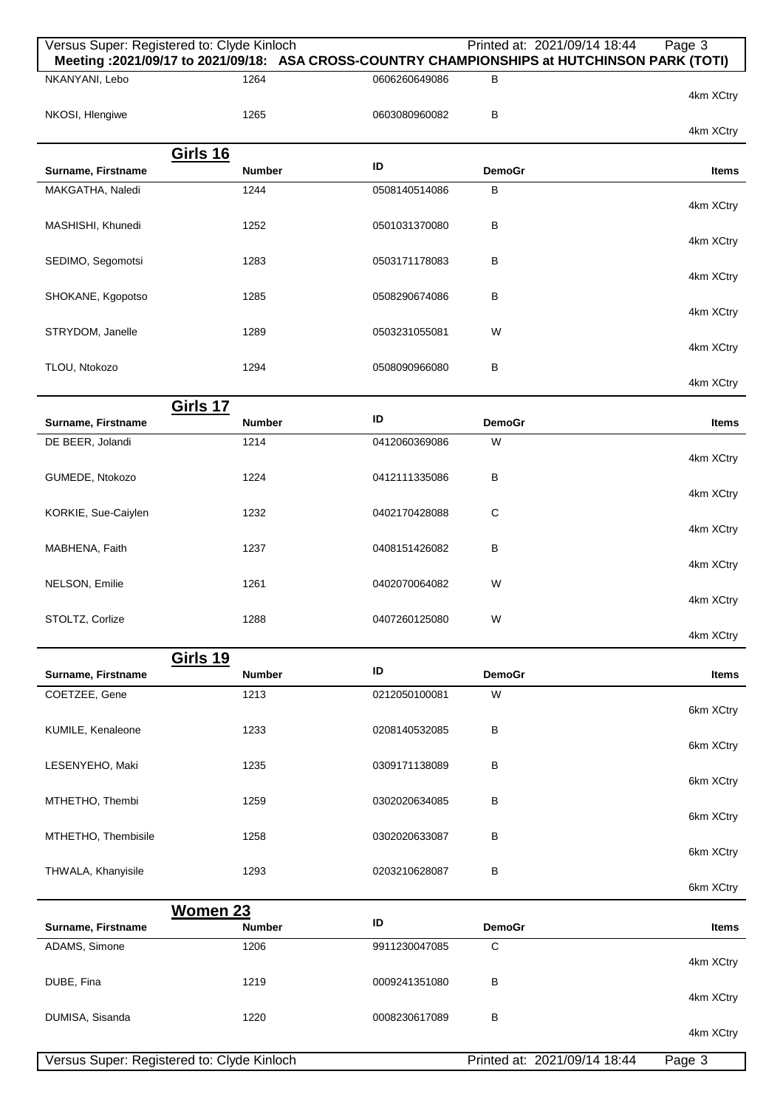|                     | Versus Super: Registered to: Clyde Kinloch                                                           |               | Printed at: 2021/09/14 18:44 | Page 3    |
|---------------------|------------------------------------------------------------------------------------------------------|---------------|------------------------------|-----------|
| NKANYANI, Lebo      | Meeting: 2021/09/17 to 2021/09/18: ASA CROSS-COUNTRY CHAMPIONSHIPS at HUTCHINSON PARK (TOTI)<br>1264 | 0606260649086 | в                            |           |
|                     |                                                                                                      |               |                              | 4km XCtry |
| NKOSI, Hlengiwe     | 1265                                                                                                 | 0603080960082 | В                            |           |
|                     |                                                                                                      |               |                              | 4km XCtry |
|                     | <b>Girls 16</b>                                                                                      |               |                              |           |
| Surname, Firstname  | <b>Number</b>                                                                                        | ID            | <b>DemoGr</b>                | Items     |
| MAKGATHA, Naledi    | 1244                                                                                                 | 0508140514086 | B                            |           |
|                     |                                                                                                      |               |                              | 4km XCtry |
| MASHISHI, Khunedi   | 1252                                                                                                 | 0501031370080 | В                            |           |
| SEDIMO, Segomotsi   | 1283                                                                                                 | 0503171178083 | В                            | 4km XCtry |
|                     |                                                                                                      |               |                              | 4km XCtry |
| SHOKANE, Kgopotso   | 1285                                                                                                 | 0508290674086 | В                            |           |
|                     |                                                                                                      |               |                              | 4km XCtry |
| STRYDOM, Janelle    | 1289                                                                                                 | 0503231055081 | W                            |           |
|                     |                                                                                                      |               |                              | 4km XCtry |
| TLOU, Ntokozo       | 1294                                                                                                 | 0508090966080 | В                            |           |
|                     |                                                                                                      |               |                              | 4km XCtry |
|                     | Girls 17                                                                                             | ID            |                              |           |
| Surname, Firstname  | <b>Number</b>                                                                                        |               | <b>DemoGr</b>                | Items     |
| DE BEER, Jolandi    | 1214                                                                                                 | 0412060369086 | W                            |           |
|                     |                                                                                                      |               |                              | 4km XCtry |
| GUMEDE, Ntokozo     | 1224                                                                                                 | 0412111335086 | В                            | 4km XCtry |
| KORKIE, Sue-Caiylen | 1232                                                                                                 | 0402170428088 | C                            |           |
|                     |                                                                                                      |               |                              | 4km XCtry |
| MABHENA, Faith      | 1237                                                                                                 | 0408151426082 | В                            |           |
|                     |                                                                                                      |               |                              | 4km XCtry |
| NELSON, Emilie      | 1261                                                                                                 | 0402070064082 | W                            |           |
|                     |                                                                                                      |               |                              | 4km XCtry |
| STOLTZ, Corlize     | 1288                                                                                                 | 0407260125080 | W                            |           |
|                     |                                                                                                      |               |                              | 4km XCtry |
|                     | <b>Girls 19</b>                                                                                      | ID            |                              |           |
| Surname, Firstname  | <b>Number</b>                                                                                        |               | <b>DemoGr</b>                | Items     |
| COETZEE, Gene       | 1213                                                                                                 | 0212050100081 | W                            | 6km XCtry |
| KUMILE, Kenaleone   | 1233                                                                                                 | 0208140532085 | в                            |           |
|                     |                                                                                                      |               |                              | 6km XCtry |
| LESENYEHO, Maki     | 1235                                                                                                 | 0309171138089 | в                            |           |
|                     |                                                                                                      |               |                              | 6km XCtry |
| MTHETHO, Thembi     | 1259                                                                                                 | 0302020634085 | в                            |           |
|                     |                                                                                                      |               |                              | 6km XCtry |
| MTHETHO, Thembisile | 1258                                                                                                 | 0302020633087 | в                            |           |
|                     |                                                                                                      |               |                              | 6km XCtry |
| THWALA, Khanyisile  | 1293                                                                                                 | 0203210628087 | в                            | 6km XCtry |
|                     |                                                                                                      |               |                              |           |
| Surname, Firstname  | <b>Women 23</b><br><b>Number</b>                                                                     | ID            | <b>DemoGr</b>                | Items     |
| ADAMS, Simone       | 1206                                                                                                 | 9911230047085 | C                            |           |
|                     |                                                                                                      |               |                              | 4km XCtry |
| DUBE, Fina          | 1219                                                                                                 | 0009241351080 | в                            |           |
|                     |                                                                                                      |               |                              | 4km XCtry |
| DUMISA, Sisanda     | 1220                                                                                                 | 0008230617089 | В                            |           |
|                     |                                                                                                      |               |                              | 4km XCtry |
|                     | Versus Super: Registered to: Clyde Kinloch                                                           |               | Printed at: 2021/09/14 18:44 | Page 3    |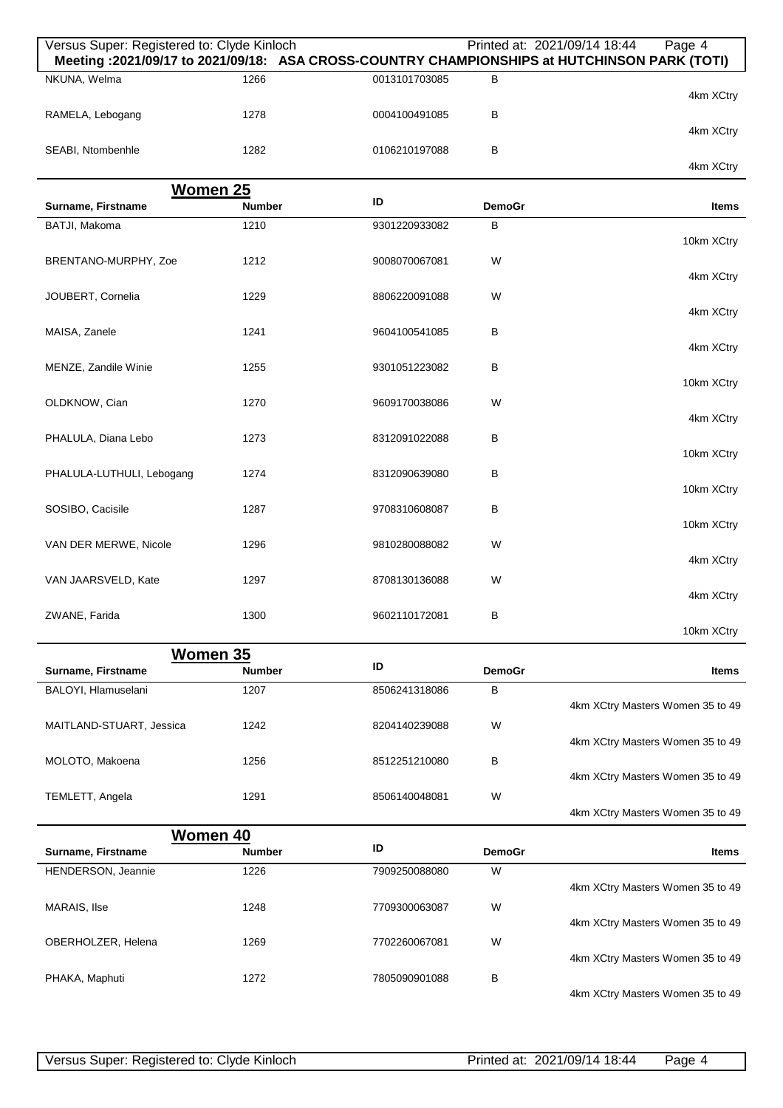| Versus Super: Registered to: Clyde Kinloch |                           |               |               | Printed at: 2021/09/14 18:44<br>Page 4<br>Meeting : 2021/09/17 to 2021/09/18: ASA CROSS-COUNTRY CHAMPIONSHIPS at HUTCHINSON PARK (TOTI) |
|--------------------------------------------|---------------------------|---------------|---------------|-----------------------------------------------------------------------------------------------------------------------------------------|
| NKUNA, Welma                               | 1266                      | 0013101703085 | В             | 4km XCtry                                                                                                                               |
| RAMELA, Lebogang                           | 1278                      | 0004100491085 | В             | 4km XCtry                                                                                                                               |
| SEABI, Ntombenhle                          | 1282                      | 0106210197088 | B             | 4km XCtry                                                                                                                               |
|                                            | Women 25                  |               |               |                                                                                                                                         |
| Surname, Firstname                         | <b>Number</b>             | ID            | <b>DemoGr</b> | <b>Items</b>                                                                                                                            |
| BATJI, Makoma                              | 1210                      | 9301220933082 | В             |                                                                                                                                         |
| BRENTANO-MURPHY, Zoe                       | 1212                      | 9008070067081 | W             | 10km XCtry                                                                                                                              |
|                                            |                           |               |               | 4km XCtry                                                                                                                               |
| JOUBERT, Cornelia                          | 1229                      | 8806220091088 | W             | 4km XCtry                                                                                                                               |
| MAISA, Zanele                              | 1241                      | 9604100541085 | В             |                                                                                                                                         |
|                                            |                           |               |               | 4km XCtry                                                                                                                               |
| MENZE, Zandile Winie                       | 1255                      | 9301051223082 | В             |                                                                                                                                         |
|                                            |                           |               |               | 10km XCtry                                                                                                                              |
| OLDKNOW, Cian                              | 1270                      | 9609170038086 | W             |                                                                                                                                         |
|                                            |                           |               |               | 4km XCtry                                                                                                                               |
| PHALULA, Diana Lebo                        | 1273                      | 8312091022088 | В             |                                                                                                                                         |
|                                            |                           |               |               | 10km XCtry                                                                                                                              |
| PHALULA-LUTHULI, Lebogang                  | 1274                      | 8312090639080 | В             | 10km XCtry                                                                                                                              |
|                                            |                           |               |               |                                                                                                                                         |
| SOSIBO, Cacisile                           | 1287                      | 9708310608087 | В             | 10km XCtry                                                                                                                              |
| VAN DER MERWE, Nicole                      | 1296                      | 9810280088082 | W             |                                                                                                                                         |
|                                            |                           |               |               | 4km XCtry                                                                                                                               |
| VAN JAARSVELD, Kate                        | 1297                      | 8708130136088 | W             |                                                                                                                                         |
|                                            |                           |               |               | 4km XCtry                                                                                                                               |
| ZWANE, Farida                              | 1300                      | 9602110172081 | В             |                                                                                                                                         |
|                                            |                           |               |               | 10km XCtry                                                                                                                              |
|                                            | Women 35                  |               |               |                                                                                                                                         |
| Surname, Firstname                         | <b>Number</b>             | ID            | <b>DemoGr</b> | <b>Items</b>                                                                                                                            |
| BALOYI, Hlamuselani                        | 1207                      | 8506241318086 | в             |                                                                                                                                         |
|                                            |                           |               |               | 4km XCtry Masters Women 35 to 49                                                                                                        |
| MAITLAND-STUART, Jessica                   | 1242                      | 8204140239088 | W             |                                                                                                                                         |
|                                            |                           |               |               | 4km XCtry Masters Women 35 to 49                                                                                                        |
| MOLOTO, Makoena                            | 1256                      | 8512251210080 | В             |                                                                                                                                         |
|                                            |                           |               |               | 4km XCtry Masters Women 35 to 49                                                                                                        |
| TEMLETT, Angela                            | 1291                      | 8506140048081 | W             | 4km XCtry Masters Women 35 to 49                                                                                                        |
|                                            |                           |               |               |                                                                                                                                         |
| Surname, Firstname                         | Women 40<br><b>Number</b> | ID            | <b>DemoGr</b> | <b>Items</b>                                                                                                                            |
| HENDERSON, Jeannie                         | 1226                      | 7909250088080 | W             |                                                                                                                                         |
|                                            |                           |               |               | 4km XCtry Masters Women 35 to 49                                                                                                        |
| MARAIS, Ilse                               | 1248                      | 7709300063087 | W             |                                                                                                                                         |
|                                            |                           |               |               | 4km XCtry Masters Women 35 to 49                                                                                                        |
| OBERHOLZER, Helena                         | 1269                      | 7702260067081 | W             |                                                                                                                                         |
|                                            |                           |               |               | 4km XCtry Masters Women 35 to 49                                                                                                        |
| PHAKA, Maphuti                             | 1272                      | 7805090901088 | B             |                                                                                                                                         |
|                                            |                           |               |               | 4km XCtry Masters Women 35 to 49                                                                                                        |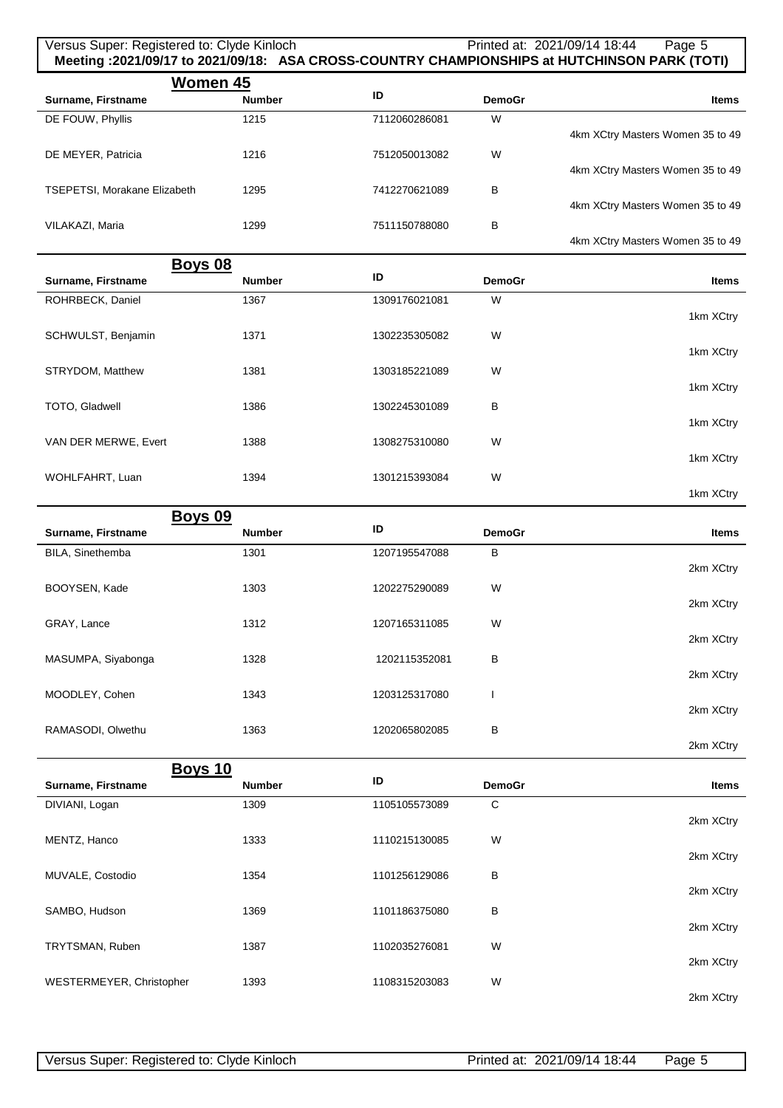### Versus Super: Registered to: Clyde Kinloch Printed at: 2021/09/14 18:44 Page 5 **Meeting :2021/09/17 to 2021/09/18: ASA CROSS-COUNTRY CHAMPIONSHIPS at HUTCHINSON PARK (TOTI)**

|                                     | Women 45      |               |               |                                  |
|-------------------------------------|---------------|---------------|---------------|----------------------------------|
| Surname, Firstname                  | <b>Number</b> | ID            | <b>DemoGr</b> | <b>Items</b>                     |
| DE FOUW, Phyllis                    | 1215          | 7112060286081 | W             |                                  |
|                                     |               |               |               | 4km XCtry Masters Women 35 to 49 |
| DE MEYER, Patricia                  | 1216          | 7512050013082 | W             |                                  |
|                                     |               |               |               | 4km XCtry Masters Women 35 to 49 |
| <b>TSEPETSI, Morakane Elizabeth</b> | 1295          | 7412270621089 | В             |                                  |
|                                     |               |               |               | 4km XCtry Masters Women 35 to 49 |
| VILAKAZI, Maria                     | 1299          | 7511150788080 | B             |                                  |
|                                     |               |               |               | 4km XCtry Masters Women 35 to 49 |

|                      | Boys 08       |               |               |              |
|----------------------|---------------|---------------|---------------|--------------|
| Surname, Firstname   | <b>Number</b> | ID            | <b>DemoGr</b> | <b>Items</b> |
| ROHRBECK, Daniel     | 1367          | 1309176021081 | W             |              |
|                      |               |               |               | 1km XCtry    |
| SCHWULST, Benjamin   | 1371          | 1302235305082 | W             |              |
|                      |               |               |               | 1km XCtry    |
| STRYDOM, Matthew     | 1381          | 1303185221089 | W             |              |
|                      |               |               |               | 1km XCtry    |
| TOTO, Gladwell       | 1386          | 1302245301089 | в             |              |
|                      |               |               |               | 1km XCtry    |
| VAN DER MERWE, Evert | 1388          | 1308275310080 | W             |              |
|                      |               |               |               | 1km XCtry    |
| WOHLFAHRT, Luan      | 1394          | 1301215393084 | W             |              |
|                      |               |               |               | 1km XCtry    |

| <b>Boys 09</b>     |               |               |               |              |
|--------------------|---------------|---------------|---------------|--------------|
| Surname, Firstname | <b>Number</b> | ID            | <b>DemoGr</b> | <b>Items</b> |
| BILA, Sinethemba   | 1301          | 1207195547088 | В             |              |
|                    |               |               |               | 2km XCtry    |
| BOOYSEN, Kade      | 1303          | 1202275290089 | W             |              |
|                    |               |               |               | 2km XCtry    |
| GRAY, Lance        | 1312          | 1207165311085 | W             |              |
|                    |               |               |               | 2km XCtry    |
| MASUMPA, Siyabonga | 1328          | 1202115352081 | В             |              |
|                    |               |               |               | 2km XCtry    |
| MOODLEY, Cohen     | 1343          | 1203125317080 | ш             |              |
|                    |               |               |               | 2km XCtry    |
| RAMASODI, Olwethu  | 1363          | 1202065802085 | B             | 2km XCtry    |
|                    |               |               |               |              |
| Boys 10            |               |               |               |              |
| Surname, Firstname | <b>Number</b> | ID            | <b>DemoGr</b> | <b>Items</b> |
| DIVIANI, Logan     | 1309          | 1105105573089 | $\mathbf C$   |              |
|                    |               |               |               | 2km XCtry    |
| MENTZ, Hanco       | 1333          | 1110215130085 | W             |              |
|                    |               |               |               | 2km XCtry    |
| MUVALE, Costodio   | 1354          | 1101256129086 | в             |              |
|                    |               |               |               | 2km XCtry    |
| SAMBO, Hudson      | 1369          | 1101186375080 | в             | 2km XCtry    |
| TRYTSMAN, Ruben    | 1387          | 1102035276081 | W             |              |
|                    |               |               |               | 2km XCtry    |
|                    |               |               |               |              |

1393 1108315203083 W

2km XCtry

WESTERMEYER, Christopher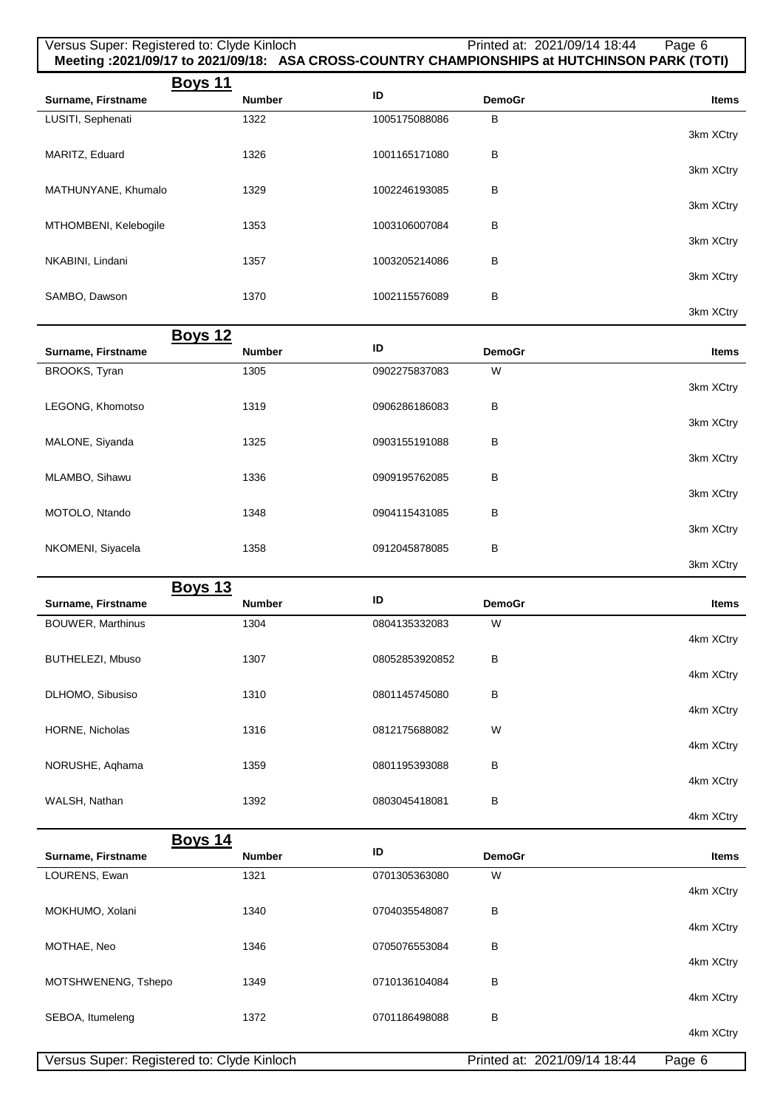| Versus Super: Registered to: Clyde Kinloch |               |                |               | Printed at: 2021/09/14 18:44<br>Page 6<br>Meeting :2021/09/17 to 2021/09/18: ASA CROSS-COUNTRY CHAMPIONSHIPS at HUTCHINSON PARK (TOTI) |  |
|--------------------------------------------|---------------|----------------|---------------|----------------------------------------------------------------------------------------------------------------------------------------|--|
| <u>Boys 11</u><br>Surname, Firstname       | <b>Number</b> | ID             | <b>DemoGr</b> | Items                                                                                                                                  |  |
| LUSITI, Sephenati                          | 1322          | 1005175088086  | в             |                                                                                                                                        |  |
|                                            |               |                |               | 3km XCtry                                                                                                                              |  |
| MARITZ, Eduard                             | 1326          | 1001165171080  | в             | 3km XCtry                                                                                                                              |  |
| MATHUNYANE, Khumalo                        | 1329          | 1002246193085  | В             |                                                                                                                                        |  |
|                                            |               |                |               | 3km XCtry                                                                                                                              |  |
| MTHOMBENI, Kelebogile                      | 1353          | 1003106007084  | в             | 3km XCtry                                                                                                                              |  |
| NKABINI, Lindani                           | 1357          | 1003205214086  | в             |                                                                                                                                        |  |
|                                            |               |                |               | 3km XCtry                                                                                                                              |  |
| SAMBO, Dawson                              | 1370          | 1002115576089  | В             | 3km XCtry                                                                                                                              |  |
| <b>Boys 12</b>                             |               |                |               |                                                                                                                                        |  |
| Surname, Firstname                         | <b>Number</b> | ID             | <b>DemoGr</b> | <b>Items</b>                                                                                                                           |  |
| BROOKS, Tyran                              | 1305          | 0902275837083  | W             |                                                                                                                                        |  |
|                                            |               |                |               | 3km XCtry                                                                                                                              |  |
| LEGONG, Khomotso                           | 1319          | 0906286186083  | В             | 3km XCtry                                                                                                                              |  |
| MALONE, Siyanda                            | 1325          | 0903155191088  | В             |                                                                                                                                        |  |
|                                            |               |                |               | 3km XCtry                                                                                                                              |  |
| MLAMBO, Sihawu                             | 1336          | 0909195762085  | в             |                                                                                                                                        |  |
| MOTOLO, Ntando                             | 1348          | 0904115431085  | в             | 3km XCtry                                                                                                                              |  |
|                                            |               |                |               | 3km XCtry                                                                                                                              |  |
| NKOMENI, Siyacela                          | 1358          | 0912045878085  | В             |                                                                                                                                        |  |
|                                            |               |                |               | 3km XCtry                                                                                                                              |  |
| <b>Boys 13</b><br>Surname, Firstname       | <b>Number</b> | ID             | <b>DemoGr</b> | Items                                                                                                                                  |  |
| <b>BOUWER, Marthinus</b>                   | 1304          | 0804135332083  | W             |                                                                                                                                        |  |
|                                            |               |                |               | 4km XCtry                                                                                                                              |  |
| BUTHELEZI, Mbuso                           | 1307          | 08052853920852 | в             | 4km XCtry                                                                                                                              |  |
| DLHOMO, Sibusiso                           | 1310          | 0801145745080  | в             |                                                                                                                                        |  |
|                                            |               |                |               | 4km XCtry                                                                                                                              |  |
| HORNE, Nicholas                            | 1316          | 0812175688082  | W             | 4km XCtry                                                                                                                              |  |
| NORUSHE, Aqhama                            | 1359          | 0801195393088  | В             |                                                                                                                                        |  |
|                                            |               |                |               | 4km XCtry                                                                                                                              |  |
| WALSH, Nathan                              | 1392          | 0803045418081  | в             |                                                                                                                                        |  |
|                                            |               |                |               | 4km XCtry                                                                                                                              |  |
| <b>Boys 14</b><br>Surname, Firstname       | <b>Number</b> | ID             | <b>DemoGr</b> | Items                                                                                                                                  |  |
| LOURENS, Ewan                              | 1321          | 0701305363080  | W             |                                                                                                                                        |  |
|                                            |               |                |               | 4km XCtry                                                                                                                              |  |
| MOKHUMO, Xolani                            | 1340          | 0704035548087  | в             | 4km XCtry                                                                                                                              |  |
| MOTHAE, Neo                                | 1346          | 0705076553084  | в             |                                                                                                                                        |  |
|                                            |               |                |               | 4km XCtry                                                                                                                              |  |
| MOTSHWENENG, Tshepo                        | 1349          | 0710136104084  | в             |                                                                                                                                        |  |
| SEBOA, Itumeleng                           | 1372          | 0701186498088  | В             | 4km XCtry                                                                                                                              |  |
|                                            |               |                |               | 4km XCtry                                                                                                                              |  |
| Versus Super: Registered to: Clyde Kinloch |               |                |               | Printed at: 2021/09/14 18:44<br>Page 6                                                                                                 |  |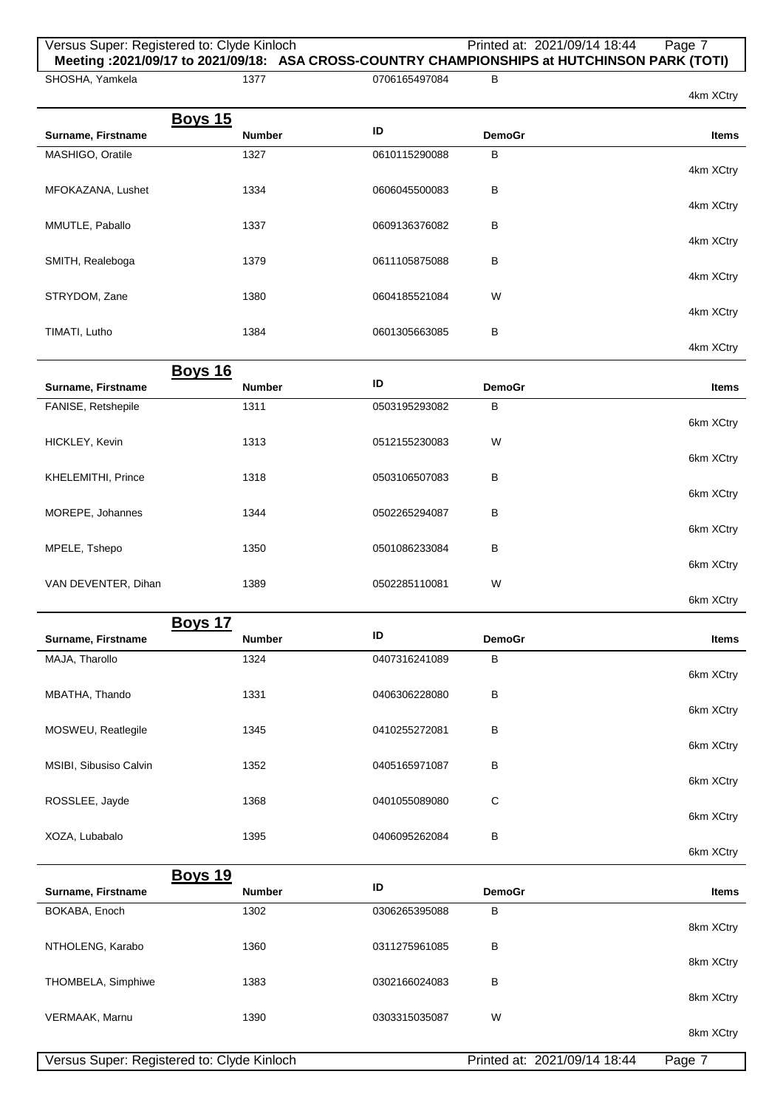## Versus Super: Registered to: Clyde Kinloch Printed at: 2021/09/14 18:44 Page 7 **Meeting :2021/09/17 to 2021/09/18: ASA CROSS-COUNTRY CHAMPIONSHIPS at HUTCHINSON PARK (TOTI)**

SHOSHA, Yamkela

1377 0706165497084 B

6km XCtry

|                    |                |               |               | 4NIII AUU Y  |
|--------------------|----------------|---------------|---------------|--------------|
|                    | <b>Boys 15</b> |               |               |              |
| Surname, Firstname | <b>Number</b>  | ID            | <b>DemoGr</b> | <b>Items</b> |
| MASHIGO, Oratile   | 1327           | 0610115290088 | в             |              |
|                    |                |               |               | 4km XCtry    |
| MFOKAZANA, Lushet  | 1334           | 0606045500083 | в             |              |
|                    |                |               |               | 4km XCtry    |
| MMUTLE, Paballo    | 1337           | 0609136376082 | в             |              |
|                    |                |               |               | 4km XCtry    |
| SMITH, Realeboga   | 1379           | 0611105875088 | B             |              |
|                    |                |               |               | 4km XCtry    |
| STRYDOM, Zane      | 1380           | 0604185521084 | W             |              |
|                    |                |               |               | 4km XCtry    |
| TIMATI, Lutho      | 1384           | 0601305663085 | в             | 4km XCtry    |
|                    |                |               |               |              |
|                    | <b>Boys 16</b> | ID            |               |              |
| Surname, Firstname | <b>Number</b>  |               | <b>DemoGr</b> | <b>Items</b> |
| FANISE, Retshepile | 1311           | 0503195293082 | B             |              |
|                    |                |               |               | 6km XCtry    |
| HICKLEY, Kevin     | 1313           | 0512155230083 | W             |              |
|                    |                |               |               | 6km XCtry    |
| KHELEMITHI, Prince | 1318           | 0503106507083 | В             |              |
|                    |                |               |               | 6km XCtry    |
| MOREPE, Johannes   | 1344           | 0502265294087 | В             |              |

|                     |      |               |   | 6km XCtry |
|---------------------|------|---------------|---|-----------|
| MPELE, Tshepo       | 1350 | 0501086233084 | в |           |
| VAN DEVENTER, Dihan | 1389 | 0502285110081 | W | 6km XCtry |
|                     |      |               |   | 6km XCtry |

| Boys 17                |               |               |               |              |  |
|------------------------|---------------|---------------|---------------|--------------|--|
| Surname, Firstname     | <b>Number</b> | ID            | <b>DemoGr</b> | <b>Items</b> |  |
| MAJA, Tharollo         | 1324          | 0407316241089 | B             |              |  |
|                        |               |               |               | 6km XCtry    |  |
| MBATHA, Thando         | 1331          | 0406306228080 | в             |              |  |
|                        |               |               |               | 6km XCtry    |  |
| MOSWEU, Reatlegile     | 1345          | 0410255272081 | в             |              |  |
|                        |               |               |               | 6km XCtry    |  |
| MSIBI, Sibusiso Calvin | 1352          | 0405165971087 | в             |              |  |
|                        |               |               |               | 6km XCtry    |  |
| ROSSLEE, Jayde         | 1368          | 0401055089080 | C             |              |  |
|                        |               |               |               | 6km XCtry    |  |
| XOZA, Lubabalo         | 1395          | 0406095262084 | B             |              |  |

|                    | <b>Boys 19</b>                             |               |                              |           |
|--------------------|--------------------------------------------|---------------|------------------------------|-----------|
| Surname, Firstname | <b>Number</b>                              | ID            | <b>DemoGr</b>                | Items     |
| BOKABA, Enoch      | 1302                                       | 0306265395088 | B                            |           |
|                    |                                            |               |                              | 8km XCtry |
| NTHOLENG, Karabo   | 1360                                       | 0311275961085 | B                            |           |
|                    |                                            |               |                              | 8km XCtry |
| THOMBELA, Simphiwe | 1383                                       | 0302166024083 | B                            |           |
|                    |                                            |               |                              | 8km XCtry |
| VERMAAK, Marnu     | 1390                                       | 0303315035087 | W                            |           |
|                    |                                            |               |                              | 8km XCtry |
|                    | Versus Super: Registered to: Clyde Kinloch |               | Printed at: 2021/09/14 18:44 | Page 7    |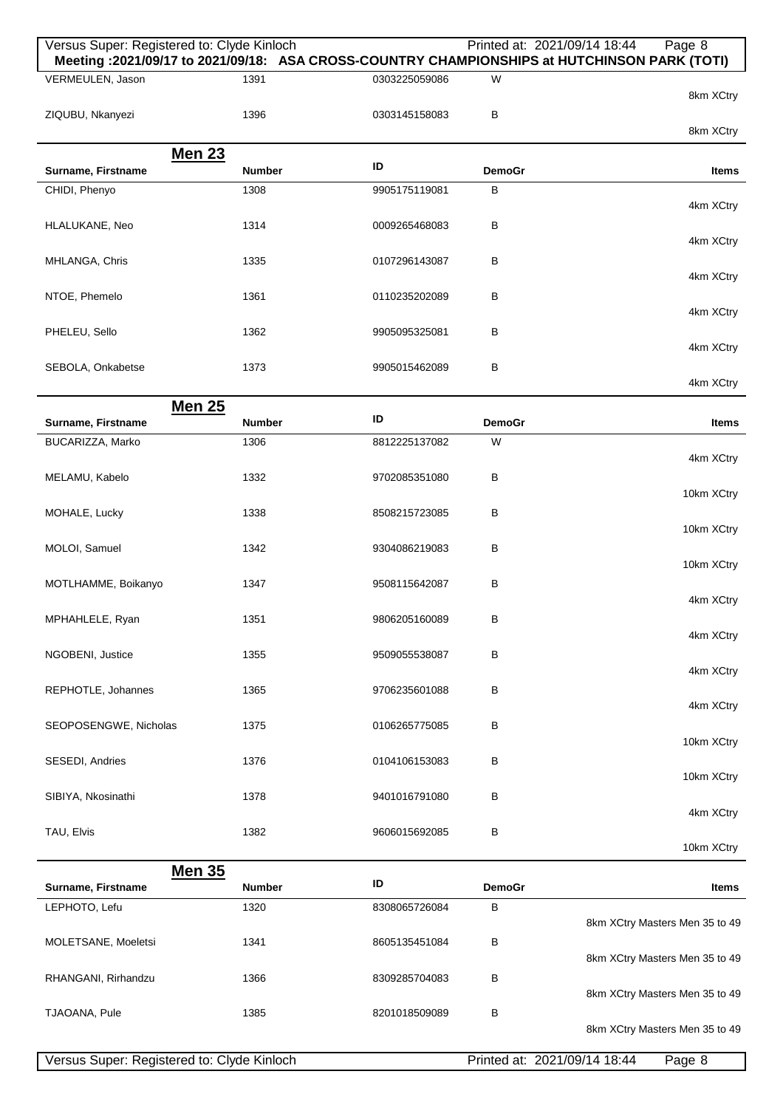| Versus Super: Registered to: Clyde Kinloch |               |               |               | Printed at: 2021/09/14 18:44<br>Page 8                                                       |
|--------------------------------------------|---------------|---------------|---------------|----------------------------------------------------------------------------------------------|
|                                            |               |               |               | Meeting: 2021/09/17 to 2021/09/18: ASA CROSS-COUNTRY CHAMPIONSHIPS at HUTCHINSON PARK (TOTI) |
| VERMEULEN, Jason                           | 1391          | 0303225059086 | W             | 8km XCtry                                                                                    |
| ZIQUBU, Nkanyezi                           | 1396          | 0303145158083 | в             |                                                                                              |
|                                            |               |               |               | 8km XCtry                                                                                    |
|                                            |               |               |               |                                                                                              |
| <b>Men 23</b><br>Surname, Firstname        | <b>Number</b> | ID            | <b>DemoGr</b> | Items                                                                                        |
| CHIDI, Phenyo                              | 1308          | 9905175119081 | B             |                                                                                              |
|                                            |               |               |               | 4km XCtry                                                                                    |
| HLALUKANE, Neo                             | 1314          | 0009265468083 | в             |                                                                                              |
|                                            |               |               |               | 4km XCtry                                                                                    |
| MHLANGA, Chris                             | 1335          | 0107296143087 | в             |                                                                                              |
|                                            |               |               |               | 4km XCtry                                                                                    |
| NTOE, Phemelo                              | 1361          | 0110235202089 | в             |                                                                                              |
|                                            |               |               |               | 4km XCtry                                                                                    |
| PHELEU, Sello                              | 1362          | 9905095325081 | в             |                                                                                              |
|                                            |               |               |               | 4km XCtry                                                                                    |
| SEBOLA, Onkabetse                          | 1373          | 9905015462089 | В             |                                                                                              |
|                                            |               |               |               | 4km XCtry                                                                                    |
| <b>Men 25</b>                              |               |               |               |                                                                                              |
| Surname, Firstname                         | <b>Number</b> | ID            | <b>DemoGr</b> | <b>Items</b>                                                                                 |
| BUCARIZZA, Marko                           | 1306          | 8812225137082 | W             |                                                                                              |
|                                            |               |               |               | 4km XCtry                                                                                    |
| MELAMU, Kabelo                             | 1332          | 9702085351080 | в             |                                                                                              |
|                                            |               |               |               | 10km XCtry                                                                                   |
| MOHALE, Lucky                              | 1338          | 8508215723085 | в             |                                                                                              |
|                                            |               |               |               | 10km XCtry                                                                                   |
| MOLOI, Samuel                              | 1342          | 9304086219083 | в             |                                                                                              |
|                                            |               |               |               | 10km XCtry                                                                                   |
| MOTLHAMME, Boikanyo                        | 1347          | 9508115642087 | В             | 4km XCtry                                                                                    |
|                                            |               |               |               |                                                                                              |
| MPHAHLELE, Ryan                            | 1351          | 9806205160089 | в             | 4km XCtry                                                                                    |
|                                            |               |               |               |                                                                                              |
| NGOBENI, Justice                           | 1355          | 9509055538087 | В             | 4km XCtry                                                                                    |
| REPHOTLE, Johannes                         | 1365          | 9706235601088 | В             |                                                                                              |
|                                            |               |               |               | 4km XCtry                                                                                    |
| SEOPOSENGWE, Nicholas                      | 1375          | 0106265775085 | В             |                                                                                              |
|                                            |               |               |               | 10km XCtry                                                                                   |
| SESEDI, Andries                            | 1376          | 0104106153083 | В             |                                                                                              |
|                                            |               |               |               | 10km XCtry                                                                                   |
| SIBIYA, Nkosinathi                         | 1378          | 9401016791080 | В             |                                                                                              |
|                                            |               |               |               | 4km XCtry                                                                                    |
| TAU, Elvis                                 | 1382          | 9606015692085 | в             |                                                                                              |
|                                            |               |               |               | 10km XCtry                                                                                   |
| <b>Men 35</b>                              |               |               |               |                                                                                              |
| Surname, Firstname                         | <b>Number</b> | ID            | <b>DemoGr</b> | Items                                                                                        |
| LEPHOTO, Lefu                              | 1320          | 8308065726084 | В             |                                                                                              |
|                                            |               |               |               | 8km XCtry Masters Men 35 to 49                                                               |
| MOLETSANE, Moeletsi                        | 1341          | 8605135451084 | в             |                                                                                              |
|                                            |               |               |               | 8km XCtry Masters Men 35 to 49                                                               |
| RHANGANI, Rirhandzu                        | 1366          | 8309285704083 | в             |                                                                                              |
|                                            |               |               |               | 8km XCtry Masters Men 35 to 49                                                               |
| TJAOANA, Pule                              | 1385          | 8201018509089 | В             |                                                                                              |
|                                            |               |               |               | 8km XCtry Masters Men 35 to 49                                                               |